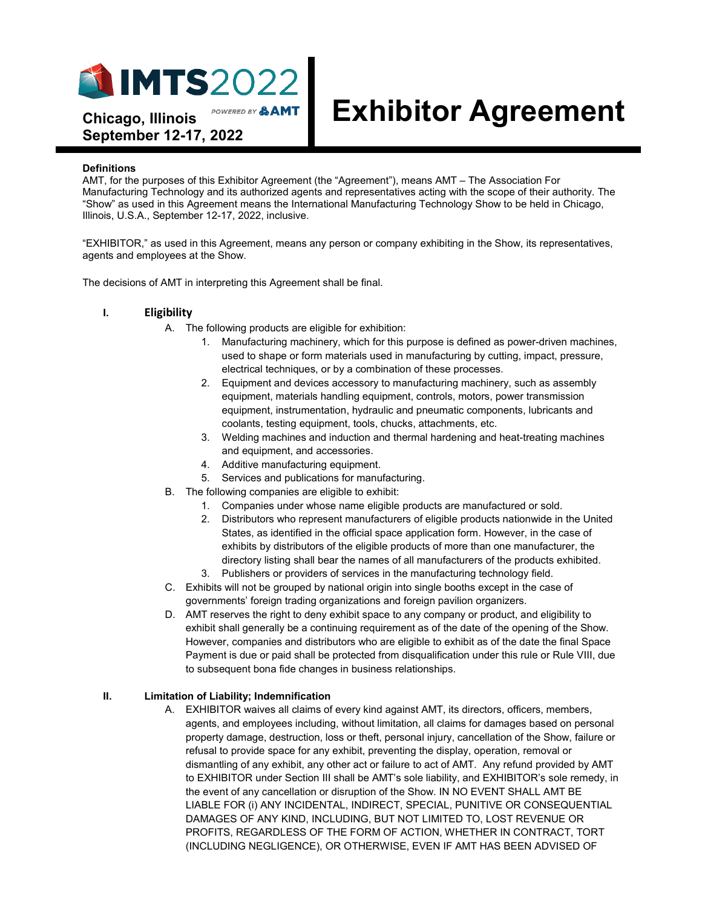

# **Exhibitor Agreement**

POWERED BY &AMT **Chicago, Illinois September 12-17, 2022**

#### **Definitions**

AMT, for the purposes of this Exhibitor Agreement (the "Agreement"), means AMT – The Association For Manufacturing Technology and its authorized agents and representatives acting with the scope of their authority. The "Show" as used in this Agreement means the International Manufacturing Technology Show to be held in Chicago, Illinois, U.S.A., September 12-17, 2022, inclusive.

"EXHIBITOR," as used in this Agreement, means any person or company exhibiting in the Show, its representatives, agents and employees at the Show.

The decisions of AMT in interpreting this Agreement shall be final.

# **I. Eligibility**

- A. The following products are eligible for exhibition:
	- 1. Manufacturing machinery, which for this purpose is defined as power-driven machines, used to shape or form materials used in manufacturing by cutting, impact, pressure, electrical techniques, or by a combination of these processes.
	- 2. Equipment and devices accessory to manufacturing machinery, such as assembly equipment, materials handling equipment, controls, motors, power transmission equipment, instrumentation, hydraulic and pneumatic components, lubricants and coolants, testing equipment, tools, chucks, attachments, etc.
	- 3. Welding machines and induction and thermal hardening and heat-treating machines and equipment, and accessories.
	- 4. Additive manufacturing equipment.
	- 5. Services and publications for manufacturing.
- B. The following companies are eligible to exhibit:
	- 1. Companies under whose name eligible products are manufactured or sold.
	- 2. Distributors who represent manufacturers of eligible products nationwide in the United States, as identified in the official space application form. However, in the case of exhibits by distributors of the eligible products of more than one manufacturer, the directory listing shall bear the names of all manufacturers of the products exhibited.
	- 3. Publishers or providers of services in the manufacturing technology field.
- C. Exhibits will not be grouped by national origin into single booths except in the case of governments' foreign trading organizations and foreign pavilion organizers.
- D. AMT reserves the right to deny exhibit space to any company or product, and eligibility to exhibit shall generally be a continuing requirement as of the date of the opening of the Show. However, companies and distributors who are eligible to exhibit as of the date the final Space Payment is due or paid shall be protected from disqualification under this rule or Rule VIII, due to subsequent bona fide changes in business relationships.

# **II. Limitation of Liability; Indemnification**

A. EXHIBITOR waives all claims of every kind against AMT, its directors, officers, members, agents, and employees including, without limitation, all claims for damages based on personal property damage, destruction, loss or theft, personal injury, cancellation of the Show, failure or refusal to provide space for any exhibit, preventing the display, operation, removal or dismantling of any exhibit, any other act or failure to act of AMT. Any refund provided by AMT to EXHIBITOR under Section III shall be AMT's sole liability, and EXHIBITOR's sole remedy, in the event of any cancellation or disruption of the Show. IN NO EVENT SHALL AMT BE LIABLE FOR (i) ANY INCIDENTAL, INDIRECT, SPECIAL, PUNITIVE OR CONSEQUENTIAL DAMAGES OF ANY KIND, INCLUDING, BUT NOT LIMITED TO, LOST REVENUE OR PROFITS, REGARDLESS OF THE FORM OF ACTION, WHETHER IN CONTRACT, TORT (INCLUDING NEGLIGENCE), OR OTHERWISE, EVEN IF AMT HAS BEEN ADVISED OF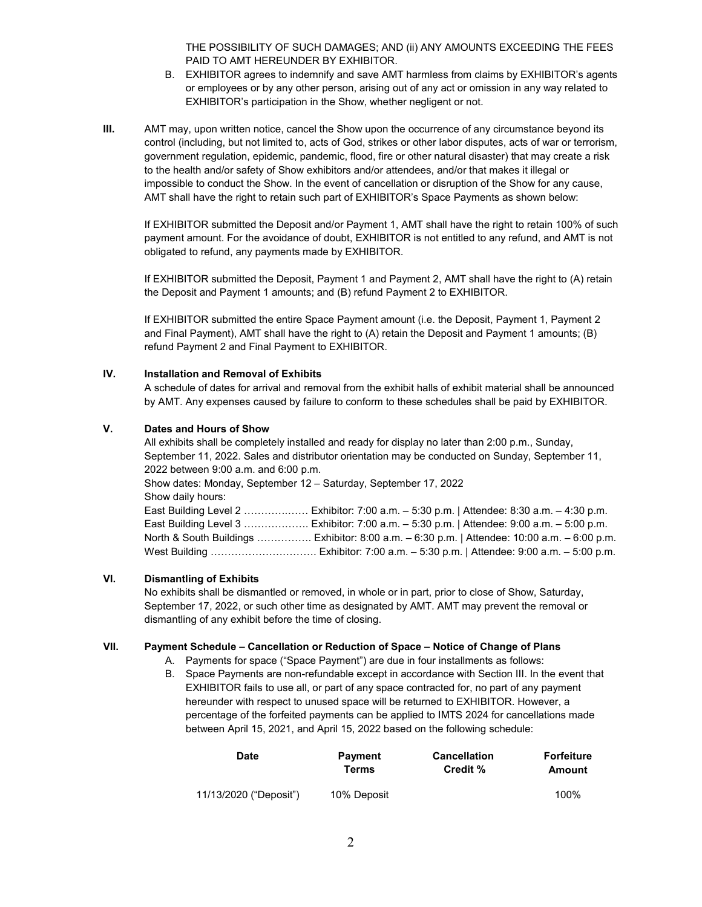THE POSSIBILITY OF SUCH DAMAGES; AND (ii) ANY AMOUNTS EXCEEDING THE FEES PAID TO AMT HEREUNDER BY EXHIBITOR.

- B. EXHIBITOR agrees to indemnify and save AMT harmless from claims by EXHIBITOR's agents or employees or by any other person, arising out of any act or omission in any way related to EXHIBITOR's participation in the Show, whether negligent or not.
- **III.** AMT may, upon written notice, cancel the Show upon the occurrence of any circumstance beyond its control (including, but not limited to, acts of God, strikes or other labor disputes, acts of war or terrorism, government regulation, epidemic, pandemic, flood, fire or other natural disaster) that may create a risk to the health and/or safety of Show exhibitors and/or attendees, and/or that makes it illegal or impossible to conduct the Show. In the event of cancellation or disruption of the Show for any cause, AMT shall have the right to retain such part of EXHIBITOR's Space Payments as shown below:

If EXHIBITOR submitted the Deposit and/or Payment 1, AMT shall have the right to retain 100% of such payment amount. For the avoidance of doubt, EXHIBITOR is not entitled to any refund, and AMT is not obligated to refund, any payments made by EXHIBITOR.

If EXHIBITOR submitted the Deposit, Payment 1 and Payment 2, AMT shall have the right to (A) retain the Deposit and Payment 1 amounts; and (B) refund Payment 2 to EXHIBITOR.

If EXHIBITOR submitted the entire Space Payment amount (i.e. the Deposit, Payment 1, Payment 2 and Final Payment), AMT shall have the right to (A) retain the Deposit and Payment 1 amounts; (B) refund Payment 2 and Final Payment to EXHIBITOR.

# **IV. Installation and Removal of Exhibits**

A schedule of dates for arrival and removal from the exhibit halls of exhibit material shall be announced by AMT. Any expenses caused by failure to conform to these schedules shall be paid by EXHIBITOR.

# **V. Dates and Hours of Show**

All exhibits shall be completely installed and ready for display no later than 2:00 p.m., Sunday, September 11, 2022. Sales and distributor orientation may be conducted on Sunday, September 11, 2022 between 9:00 a.m. and 6:00 p.m. Show dates: Monday, September 12 – Saturday, September 17, 2022 Show daily hours: East Building Level 2 ………….…… Exhibitor: 7:00 a.m. – 5:30 p.m. | Attendee: 8:30 a.m. – 4:30 p.m. East Building Level 3 ………………. Exhibitor: 7:00 a.m. – 5:30 p.m. | Attendee: 9:00 a.m. – 5:00 p.m. North & South Buildings ……………. Exhibitor: 8:00 a.m. – 6:30 p.m. | Attendee: 10:00 a.m. – 6:00 p.m. West Building …………………………. Exhibitor: 7:00 a.m. – 5:30 p.m. | Attendee: 9:00 a.m. – 5:00 p.m.

### **VI. Dismantling of Exhibits**

No exhibits shall be dismantled or removed, in whole or in part, prior to close of Show, Saturday, September 17, 2022, or such other time as designated by AMT. AMT may prevent the removal or dismantling of any exhibit before the time of closing.

# **VII. Payment Schedule – Cancellation or Reduction of Space – Notice of Change of Plans**

- A. Payments for space ("Space Payment") are due in four installments as follows:
- B. Space Payments are non-refundable except in accordance with Section III. In the event that EXHIBITOR fails to use all, or part of any space contracted for, no part of any payment hereunder with respect to unused space will be returned to EXHIBITOR. However, a percentage of the forfeited payments can be applied to IMTS 2024 for cancellations made between April 15, 2021, and April 15, 2022 based on the following schedule:

| <b>Date</b>            | <b>Payment</b> | <b>Cancellation</b> | <b>Forfeiture</b> |
|------------------------|----------------|---------------------|-------------------|
|                        | Terms          | Credit %            | Amount            |
| 11/13/2020 ("Deposit") | 10% Deposit    |                     | 100%              |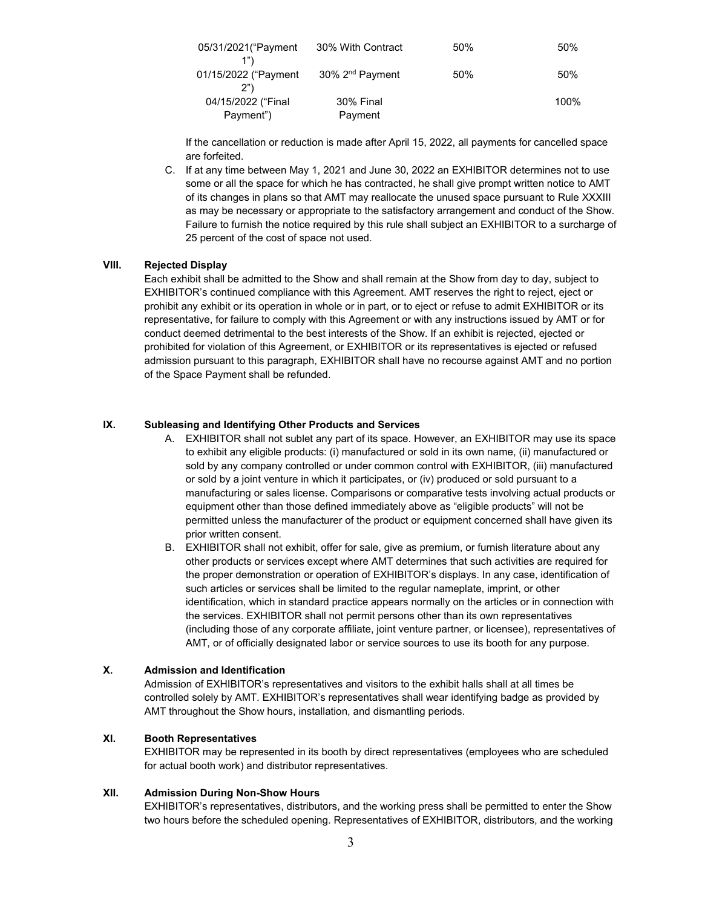| 05/31/2021 ("Payment      | 30% With Contract           | 50% | 50%     |
|---------------------------|-----------------------------|-----|---------|
| 01/15/2022 ("Payment      | 30% 2 <sup>nd</sup> Payment | 50% | 50%     |
| 2")<br>04/15/2022 ("Final | 30% Final                   |     | $100\%$ |
| Payment")                 | Payment                     |     |         |

If the cancellation or reduction is made after April 15, 2022, all payments for cancelled space are forfeited.

C. If at any time between May 1, 2021 and June 30, 2022 an EXHIBITOR determines not to use some or all the space for which he has contracted, he shall give prompt written notice to AMT of its changes in plans so that AMT may reallocate the unused space pursuant to Rule XXXIII as may be necessary or appropriate to the satisfactory arrangement and conduct of the Show. Failure to furnish the notice required by this rule shall subject an EXHIBITOR to a surcharge of 25 percent of the cost of space not used.

# **VIII. Rejected Display**

Each exhibit shall be admitted to the Show and shall remain at the Show from day to day, subject to EXHIBITOR's continued compliance with this Agreement. AMT reserves the right to reject, eject or prohibit any exhibit or its operation in whole or in part, or to eject or refuse to admit EXHIBITOR or its representative, for failure to comply with this Agreement or with any instructions issued by AMT or for conduct deemed detrimental to the best interests of the Show. If an exhibit is rejected, ejected or prohibited for violation of this Agreement, or EXHIBITOR or its representatives is ejected or refused admission pursuant to this paragraph, EXHIBITOR shall have no recourse against AMT and no portion of the Space Payment shall be refunded.

# **IX. Subleasing and Identifying Other Products and Services**

- A. EXHIBITOR shall not sublet any part of its space. However, an EXHIBITOR may use its space to exhibit any eligible products: (i) manufactured or sold in its own name, (ii) manufactured or sold by any company controlled or under common control with EXHIBITOR, (iii) manufactured or sold by a joint venture in which it participates, or (iv) produced or sold pursuant to a manufacturing or sales license. Comparisons or comparative tests involving actual products or equipment other than those defined immediately above as "eligible products" will not be permitted unless the manufacturer of the product or equipment concerned shall have given its prior written consent.
- B. EXHIBITOR shall not exhibit, offer for sale, give as premium, or furnish literature about any other products or services except where AMT determines that such activities are required for the proper demonstration or operation of EXHIBITOR's displays. In any case, identification of such articles or services shall be limited to the regular nameplate, imprint, or other identification, which in standard practice appears normally on the articles or in connection with the services. EXHIBITOR shall not permit persons other than its own representatives (including those of any corporate affiliate, joint venture partner, or licensee), representatives of AMT, or of officially designated labor or service sources to use its booth for any purpose.

# **X. Admission and Identification**

Admission of EXHIBITOR's representatives and visitors to the exhibit halls shall at all times be controlled solely by AMT. EXHIBITOR's representatives shall wear identifying badge as provided by AMT throughout the Show hours, installation, and dismantling periods.

# **XI. Booth Representatives**

EXHIBITOR may be represented in its booth by direct representatives (employees who are scheduled for actual booth work) and distributor representatives.

# **XII. Admission During Non-Show Hours**

EXHIBITOR's representatives, distributors, and the working press shall be permitted to enter the Show two hours before the scheduled opening. Representatives of EXHIBITOR, distributors, and the working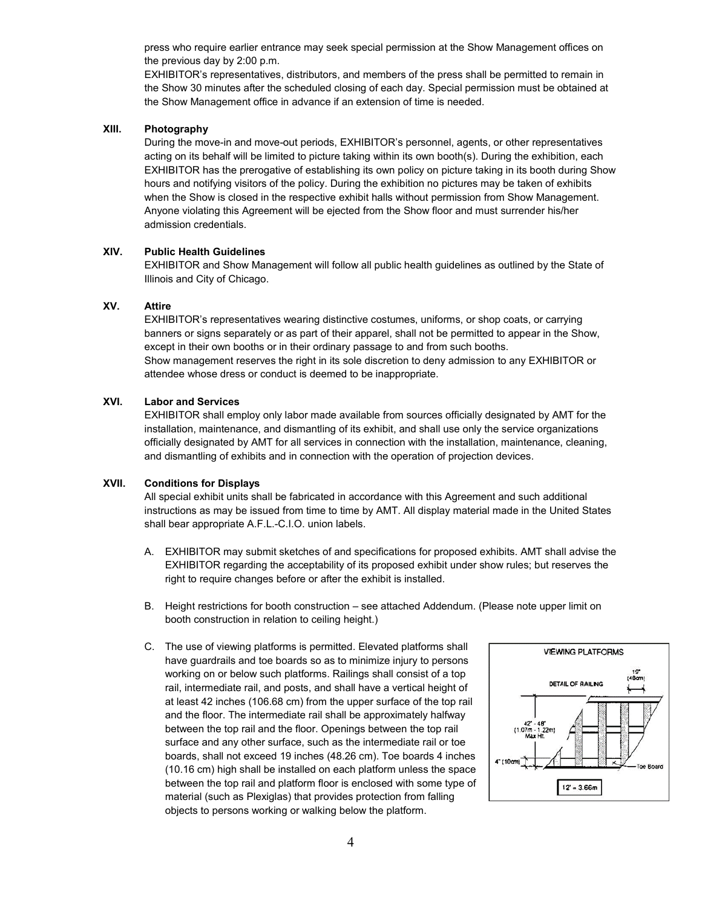press who require earlier entrance may seek special permission at the Show Management offices on the previous day by 2:00 p.m.

EXHIBITOR's representatives, distributors, and members of the press shall be permitted to remain in the Show 30 minutes after the scheduled closing of each day. Special permission must be obtained at the Show Management office in advance if an extension of time is needed.

# **XIII. Photography**

During the move-in and move-out periods, EXHIBITOR's personnel, agents, or other representatives acting on its behalf will be limited to picture taking within its own booth(s). During the exhibition, each EXHIBITOR has the prerogative of establishing its own policy on picture taking in its booth during Show hours and notifying visitors of the policy. During the exhibition no pictures may be taken of exhibits when the Show is closed in the respective exhibit halls without permission from Show Management. Anyone violating this Agreement will be ejected from the Show floor and must surrender his/her admission credentials.

# **XIV. Public Health Guidelines**

EXHIBITOR and Show Management will follow all public health guidelines as outlined by the State of Illinois and City of Chicago.

# **XV. Attire**

EXHIBITOR's representatives wearing distinctive costumes, uniforms, or shop coats, or carrying banners or signs separately or as part of their apparel, shall not be permitted to appear in the Show, except in their own booths or in their ordinary passage to and from such booths. Show management reserves the right in its sole discretion to deny admission to any EXHIBITOR or attendee whose dress or conduct is deemed to be inappropriate.

#### **XVI. Labor and Services**

EXHIBITOR shall employ only labor made available from sources officially designated by AMT for the installation, maintenance, and dismantling of its exhibit, and shall use only the service organizations officially designated by AMT for all services in connection with the installation, maintenance, cleaning, and dismantling of exhibits and in connection with the operation of projection devices.

#### **XVII. Conditions for Displays**

All special exhibit units shall be fabricated in accordance with this Agreement and such additional instructions as may be issued from time to time by AMT. All display material made in the United States shall bear appropriate A.F.L.-C.I.O. union labels.

- A. EXHIBITOR may submit sketches of and specifications for proposed exhibits. AMT shall advise the EXHIBITOR regarding the acceptability of its proposed exhibit under show rules; but reserves the right to require changes before or after the exhibit is installed.
- B. Height restrictions for booth construction see attached Addendum. (Please note upper limit on booth construction in relation to ceiling height.)
- C. The use of viewing platforms is permitted. Elevated platforms shall have guardrails and toe boards so as to minimize injury to persons working on or below such platforms. Railings shall consist of a top rail, intermediate rail, and posts, and shall have a vertical height of at least 42 inches (106.68 cm) from the upper surface of the top rail and the floor. The intermediate rail shall be approximately halfway between the top rail and the floor. Openings between the top rail surface and any other surface, such as the intermediate rail or toe boards, shall not exceed 19 inches (48.26 cm). Toe boards 4 inches (10.16 cm) high shall be installed on each platform unless the space between the top rail and platform floor is enclosed with some type of material (such as Plexiglas) that provides protection from falling objects to persons working or walking below the platform.

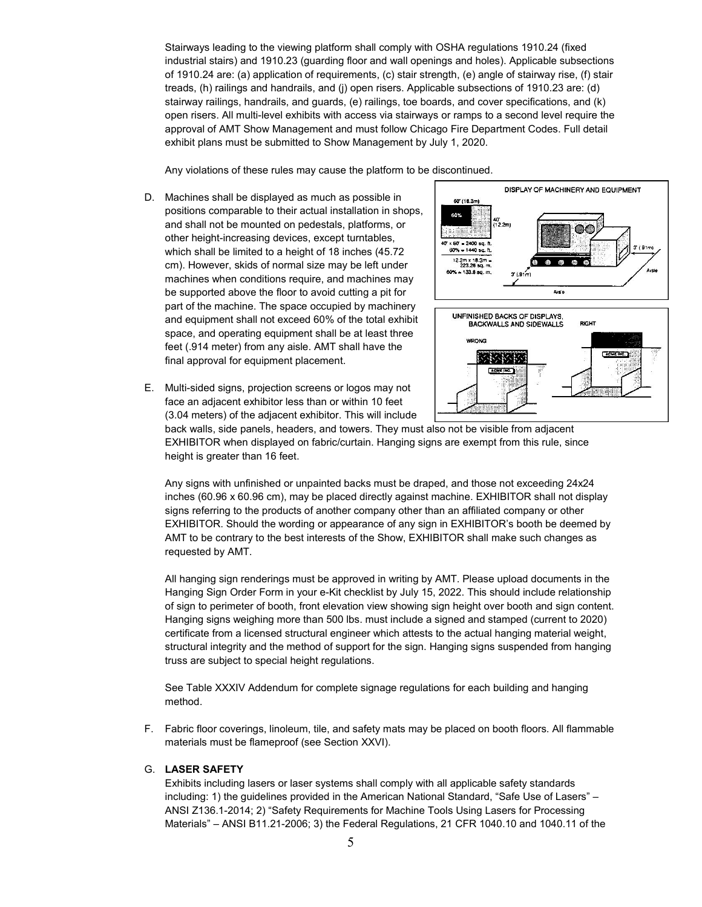Stairways leading to the viewing platform shall comply with OSHA regulations 1910.24 (fixed industrial stairs) and 1910.23 (guarding floor and wall openings and holes). Applicable subsections of 1910.24 are: (a) application of requirements, (c) stair strength, (e) angle of stairway rise, (f) stair treads, (h) railings and handrails, and (j) open risers. Applicable subsections of 1910.23 are: (d) stairway railings, handrails, and guards, (e) railings, toe boards, and cover specifications, and (k) open risers. All multi-level exhibits with access via stairways or ramps to a second level require the approval of AMT Show Management and must follow Chicago Fire Department Codes. Full detail exhibit plans must be submitted to Show Management by July 1, 2020.

Any violations of these rules may cause the platform to be discontinued.

- D. Machines shall be displayed as much as possible in positions comparable to their actual installation in shops, and shall not be mounted on pedestals, platforms, or other height-increasing devices, except turntables, which shall be limited to a height of 18 inches (45.72 cm). However, skids of normal size may be left under machines when conditions require, and machines may be supported above the floor to avoid cutting a pit for part of the machine. The space occupied by machinery and equipment shall not exceed 60% of the total exhibit space, and operating equipment shall be at least three feet (.914 meter) from any aisle. AMT shall have the final approval for equipment placement.
- E. Multi-sided signs, projection screens or logos may not face an adjacent exhibitor less than or within 10 feet



**ACME INC.** 



EXHIBITOR when displayed on fabric/curtain. Hanging signs are exempt from this rule, since height is greater than 16 feet.

Any signs with unfinished or unpainted backs must be draped, and those not exceeding 24x24 inches (60.96 x 60.96 cm), may be placed directly against machine. EXHIBITOR shall not display signs referring to the products of another company other than an affiliated company or other EXHIBITOR. Should the wording or appearance of any sign in EXHIBITOR's booth be deemed by AMT to be contrary to the best interests of the Show, EXHIBITOR shall make such changes as requested by AMT.

All hanging sign renderings must be approved in writing by AMT. Please upload documents in the Hanging Sign Order Form in your e-Kit checklist by July 15, 2022. This should include relationship of sign to perimeter of booth, front elevation view showing sign height over booth and sign content. Hanging signs weighing more than 500 lbs. must include a signed and stamped (current to 2020) certificate from a licensed structural engineer which attests to the actual hanging material weight, structural integrity and the method of support for the sign. Hanging signs suspended from hanging truss are subject to special height regulations.

See Table XXXIV Addendum for complete signage regulations for each building and hanging method.

F. Fabric floor coverings, linoleum, tile, and safety mats may be placed on booth floors. All flammable materials must be flameproof (see Section XXVI).

#### G. **LASER SAFETY**

Exhibits including lasers or laser systems shall comply with all applicable safety standards including: 1) the guidelines provided in the American National Standard, "Safe Use of Lasers" – ANSI Z136.1-2014; 2) "Safety Requirements for Machine Tools Using Lasers for Processing Materials" – ANSI B11.21-2006; 3) the Federal Regulations, 21 CFR 1040.10 and 1040.11 of the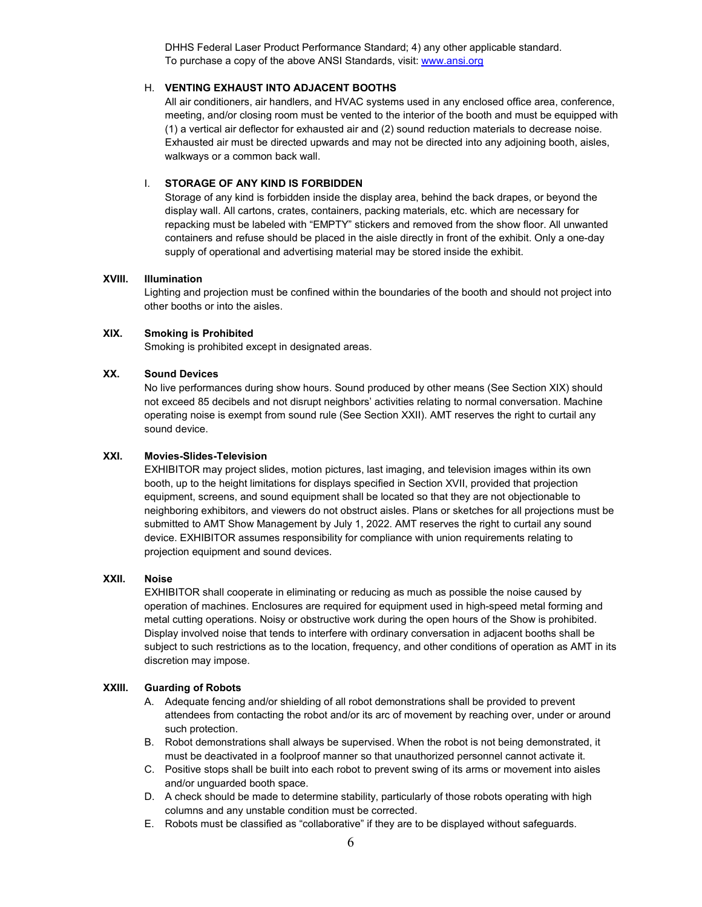DHHS Federal Laser Product Performance Standard; 4) any other applicable standard. To purchase a copy of the above ANSI Standards, visit[: www.ansi.org](http://www.ansi.org/)

# H. **VENTING EXHAUST INTO ADJACENT BOOTHS**

All air conditioners, air handlers, and HVAC systems used in any enclosed office area, conference, meeting, and/or closing room must be vented to the interior of the booth and must be equipped with (1) a vertical air deflector for exhausted air and (2) sound reduction materials to decrease noise. Exhausted air must be directed upwards and may not be directed into any adjoining booth, aisles, walkways or a common back wall.

# I. **STORAGE OF ANY KIND IS FORBIDDEN**

Storage of any kind is forbidden inside the display area, behind the back drapes, or beyond the display wall. All cartons, crates, containers, packing materials, etc. which are necessary for repacking must be labeled with "EMPTY" stickers and removed from the show floor. All unwanted containers and refuse should be placed in the aisle directly in front of the exhibit. Only a one-day supply of operational and advertising material may be stored inside the exhibit.

# **XVIII. Illumination**

Lighting and projection must be confined within the boundaries of the booth and should not project into other booths or into the aisles.

# **XIX. Smoking is Prohibited**

Smoking is prohibited except in designated areas.

# **XX. Sound Devices**

No live performances during show hours. Sound produced by other means (See Section XIX) should not exceed 85 decibels and not disrupt neighbors' activities relating to normal conversation. Machine operating noise is exempt from sound rule (See Section XXII). AMT reserves the right to curtail any sound device.

# **XXI. Movies-Slides-Television**

EXHIBITOR may project slides, motion pictures, last imaging, and television images within its own booth, up to the height limitations for displays specified in Section XVII, provided that projection equipment, screens, and sound equipment shall be located so that they are not objectionable to neighboring exhibitors, and viewers do not obstruct aisles. Plans or sketches for all projections must be submitted to AMT Show Management by July 1, 2022. AMT reserves the right to curtail any sound device. EXHIBITOR assumes responsibility for compliance with union requirements relating to projection equipment and sound devices.

### **XXII. Noise**

EXHIBITOR shall cooperate in eliminating or reducing as much as possible the noise caused by operation of machines. Enclosures are required for equipment used in high-speed metal forming and metal cutting operations. Noisy or obstructive work during the open hours of the Show is prohibited. Display involved noise that tends to interfere with ordinary conversation in adjacent booths shall be subject to such restrictions as to the location, frequency, and other conditions of operation as AMT in its discretion may impose.

#### **XXIII. Guarding of Robots**

- A. Adequate fencing and/or shielding of all robot demonstrations shall be provided to prevent attendees from contacting the robot and/or its arc of movement by reaching over, under or around such protection.
- B. Robot demonstrations shall always be supervised. When the robot is not being demonstrated, it must be deactivated in a foolproof manner so that unauthorized personnel cannot activate it.
- C. Positive stops shall be built into each robot to prevent swing of its arms or movement into aisles and/or unguarded booth space.
- D. A check should be made to determine stability, particularly of those robots operating with high columns and any unstable condition must be corrected.
- E. Robots must be classified as "collaborative" if they are to be displayed without safeguards.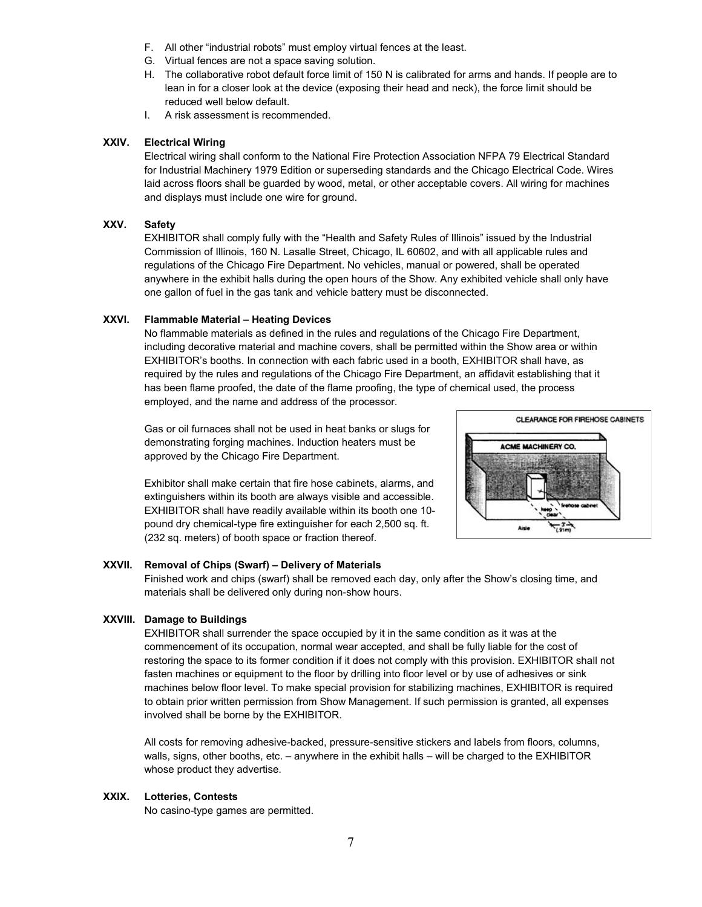- F. All other "industrial robots" must employ virtual fences at the least.
- G. Virtual fences are not a space saving solution.
- H. The collaborative robot default force limit of 150 N is calibrated for arms and hands. If people are to lean in for a closer look at the device (exposing their head and neck), the force limit should be reduced well below default.
- I. A risk assessment is recommended.

#### **XXIV. Electrical Wiring**

Electrical wiring shall conform to the National Fire Protection Association NFPA 79 Electrical Standard for Industrial Machinery 1979 Edition or superseding standards and the Chicago Electrical Code. Wires laid across floors shall be guarded by wood, metal, or other acceptable covers. All wiring for machines and displays must include one wire for ground.

#### **XXV. Safety**

EXHIBITOR shall comply fully with the "Health and Safety Rules of Illinois" issued by the Industrial Commission of Illinois, 160 N. Lasalle Street, Chicago, IL 60602, and with all applicable rules and regulations of the Chicago Fire Department. No vehicles, manual or powered, shall be operated anywhere in the exhibit halls during the open hours of the Show. Any exhibited vehicle shall only have one gallon of fuel in the gas tank and vehicle battery must be disconnected.

#### **XXVI. Flammable Material – Heating Devices**

No flammable materials as defined in the rules and regulations of the Chicago Fire Department, including decorative material and machine covers, shall be permitted within the Show area or within EXHIBITOR's booths. In connection with each fabric used in a booth, EXHIBITOR shall have, as required by the rules and regulations of the Chicago Fire Department, an affidavit establishing that it has been flame proofed, the date of the flame proofing, the type of chemical used, the process employed, and the name and address of the processor.

Gas or oil furnaces shall not be used in heat banks or slugs for demonstrating forging machines. Induction heaters must be approved by the Chicago Fire Department.

Exhibitor shall make certain that fire hose cabinets, alarms, and extinguishers within its booth are always visible and accessible. EXHIBITOR shall have readily available within its booth one 10 pound dry chemical-type fire extinguisher for each 2,500 sq. ft. (232 sq. meters) of booth space or fraction thereof.



#### **XXVII. Removal of Chips (Swarf) – Delivery of Materials**

Finished work and chips (swarf) shall be removed each day, only after the Show's closing time, and materials shall be delivered only during non-show hours.

#### **XXVIII. Damage to Buildings**

EXHIBITOR shall surrender the space occupied by it in the same condition as it was at the commencement of its occupation, normal wear accepted, and shall be fully liable for the cost of restoring the space to its former condition if it does not comply with this provision. EXHIBITOR shall not fasten machines or equipment to the floor by drilling into floor level or by use of adhesives or sink machines below floor level. To make special provision for stabilizing machines, EXHIBITOR is required to obtain prior written permission from Show Management. If such permission is granted, all expenses involved shall be borne by the EXHIBITOR.

All costs for removing adhesive-backed, pressure-sensitive stickers and labels from floors, columns, walls, signs, other booths, etc. – anywhere in the exhibit halls – will be charged to the EXHIBITOR whose product they advertise.

# **XXIX. Lotteries, Contests**

No casino-type games are permitted.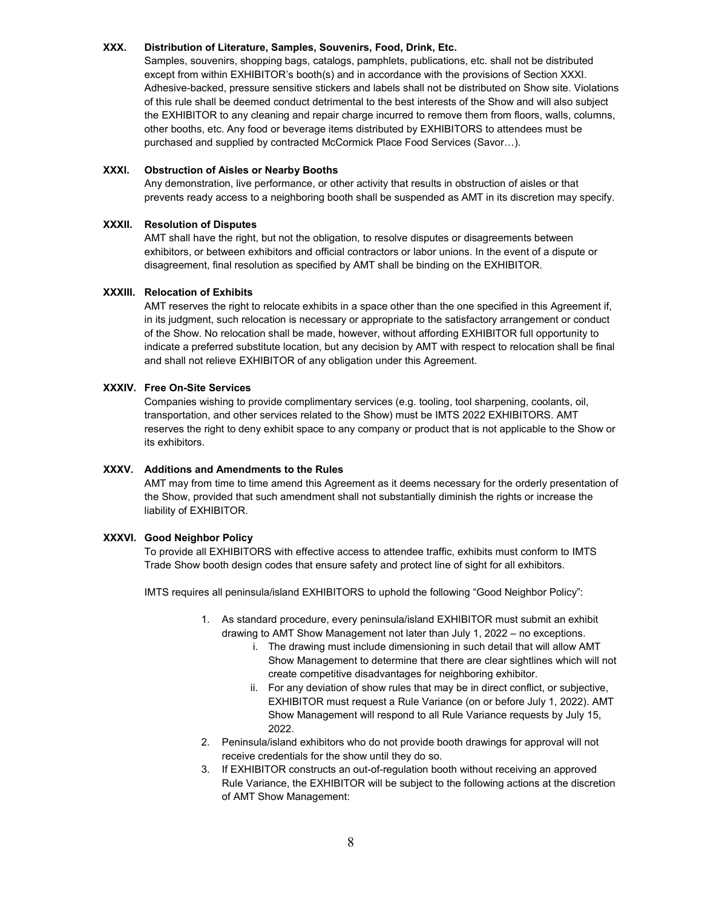#### **XXX. Distribution of Literature, Samples, Souvenirs, Food, Drink, Etc.**

Samples, souvenirs, shopping bags, catalogs, pamphlets, publications, etc. shall not be distributed except from within EXHIBITOR's booth(s) and in accordance with the provisions of Section XXXI. Adhesive-backed, pressure sensitive stickers and labels shall not be distributed on Show site. Violations of this rule shall be deemed conduct detrimental to the best interests of the Show and will also subject the EXHIBITOR to any cleaning and repair charge incurred to remove them from floors, walls, columns, other booths, etc. Any food or beverage items distributed by EXHIBITORS to attendees must be purchased and supplied by contracted McCormick Place Food Services (Savor…).

# **XXXI. Obstruction of Aisles or Nearby Booths**

Any demonstration, live performance, or other activity that results in obstruction of aisles or that prevents ready access to a neighboring booth shall be suspended as AMT in its discretion may specify.

#### **XXXII. Resolution of Disputes**

AMT shall have the right, but not the obligation, to resolve disputes or disagreements between exhibitors, or between exhibitors and official contractors or labor unions. In the event of a dispute or disagreement, final resolution as specified by AMT shall be binding on the EXHIBITOR.

#### **XXXIII. Relocation of Exhibits**

AMT reserves the right to relocate exhibits in a space other than the one specified in this Agreement if, in its judgment, such relocation is necessary or appropriate to the satisfactory arrangement or conduct of the Show. No relocation shall be made, however, without affording EXHIBITOR full opportunity to indicate a preferred substitute location, but any decision by AMT with respect to relocation shall be final and shall not relieve EXHIBITOR of any obligation under this Agreement.

#### **XXXIV. Free On-Site Services**

Companies wishing to provide complimentary services (e.g. tooling, tool sharpening, coolants, oil, transportation, and other services related to the Show) must be IMTS 2022 EXHIBITORS. AMT reserves the right to deny exhibit space to any company or product that is not applicable to the Show or its exhibitors.

# **XXXV. Additions and Amendments to the Rules**

AMT may from time to time amend this Agreement as it deems necessary for the orderly presentation of the Show, provided that such amendment shall not substantially diminish the rights or increase the liability of EXHIBITOR.

#### **XXXVI. Good Neighbor Policy**

To provide all EXHIBITORS with effective access to attendee traffic, exhibits must conform to IMTS Trade Show booth design codes that ensure safety and protect line of sight for all exhibitors.

IMTS requires all peninsula/island EXHIBITORS to uphold the following "Good Neighbor Policy":

- 1. As standard procedure, every peninsula/island EXHIBITOR must submit an exhibit drawing to AMT Show Management not later than July 1, 2022 – no exceptions.
	- i. The drawing must include dimensioning in such detail that will allow AMT Show Management to determine that there are clear sightlines which will not create competitive disadvantages for neighboring exhibitor.
	- ii. For any deviation of show rules that may be in direct conflict, or subjective, EXHIBITOR must request a Rule Variance (on or before July 1, 2022). AMT Show Management will respond to all Rule Variance requests by July 15, 2022.
- 2. Peninsula/island exhibitors who do not provide booth drawings for approval will not receive credentials for the show until they do so.
- 3. If EXHIBITOR constructs an out-of-regulation booth without receiving an approved Rule Variance, the EXHIBITOR will be subject to the following actions at the discretion of AMT Show Management: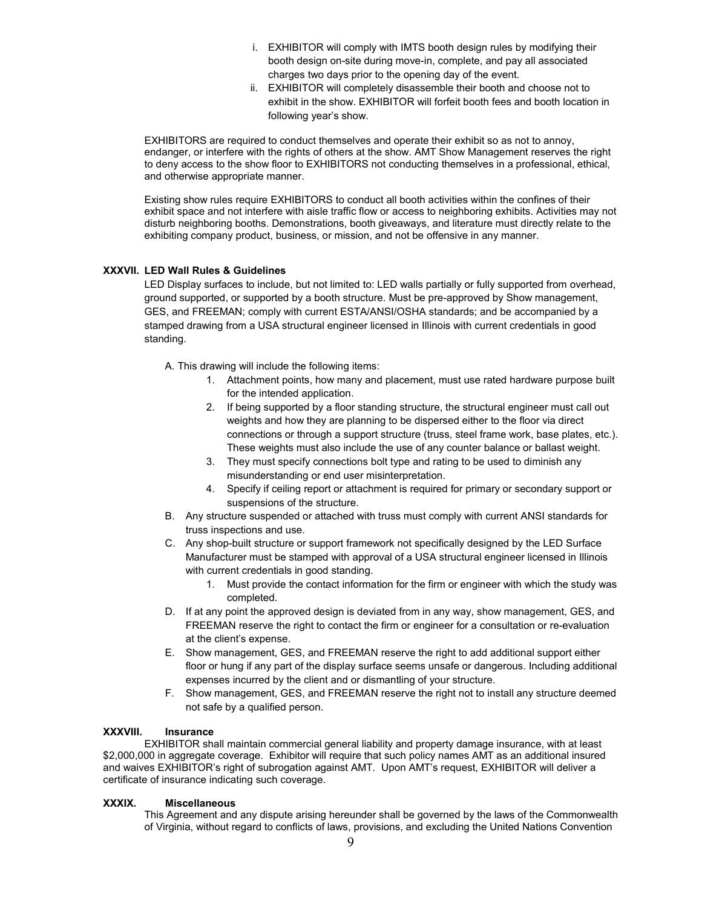- i. EXHIBITOR will comply with IMTS booth design rules by modifying their booth design on-site during move-in, complete, and pay all associated charges two days prior to the opening day of the event.
- ii. EXHIBITOR will completely disassemble their booth and choose not to exhibit in the show. EXHIBITOR will forfeit booth fees and booth location in following year's show.

EXHIBITORS are required to conduct themselves and operate their exhibit so as not to annoy, endanger, or interfere with the rights of others at the show. AMT Show Management reserves the right to deny access to the show floor to EXHIBITORS not conducting themselves in a professional, ethical, and otherwise appropriate manner.

Existing show rules require EXHIBITORS to conduct all booth activities within the confines of their exhibit space and not interfere with aisle traffic flow or access to neighboring exhibits. Activities may not disturb neighboring booths. Demonstrations, booth giveaways, and literature must directly relate to the exhibiting company product, business, or mission, and not be offensive in any manner.

# **XXXVII. LED Wall Rules & Guidelines**

LED Display surfaces to include, but not limited to: LED walls partially or fully supported from overhead, ground supported, or supported by a booth structure. Must be pre-approved by Show management, GES, and FREEMAN; comply with current ESTA/ANSI/OSHA standards; and be accompanied by a stamped drawing from a USA structural engineer licensed in Illinois with current credentials in good standing.

A. This drawing will include the following items:

- 1. Attachment points, how many and placement, must use rated hardware purpose built for the intended application.
- 2. If being supported by a floor standing structure, the structural engineer must call out weights and how they are planning to be dispersed either to the floor via direct connections or through a support structure (truss, steel frame work, base plates, etc.). These weights must also include the use of any counter balance or ballast weight.
- 3. They must specify connections bolt type and rating to be used to diminish any misunderstanding or end user misinterpretation.
- 4. Specify if ceiling report or attachment is required for primary or secondary support or suspensions of the structure.
- B. Any structure suspended or attached with truss must comply with current ANSI standards for truss inspections and use.
- C. Any shop-built structure or support framework not specifically designed by the LED Surface Manufacturer must be stamped with approval of a USA structural engineer licensed in Illinois with current credentials in good standing.
	- 1. Must provide the contact information for the firm or engineer with which the study was completed.
- D. If at any point the approved design is deviated from in any way, show management, GES, and FREEMAN reserve the right to contact the firm or engineer for a consultation or re-evaluation at the client's expense.
- E. Show management, GES, and FREEMAN reserve the right to add additional support either floor or hung if any part of the display surface seems unsafe or dangerous. Including additional expenses incurred by the client and or dismantling of your structure.
- F. Show management, GES, and FREEMAN reserve the right not to install any structure deemed not safe by a qualified person.

# **XXXVIII. Insurance**

EXHIBITOR shall maintain commercial general liability and property damage insurance, with at least \$2,000,000 in aggregate coverage. Exhibitor will require that such policy names AMT as an additional insured and waives EXHIBITOR's right of subrogation against AMT. Upon AMT's request, EXHIBITOR will deliver a certificate of insurance indicating such coverage.

# **XXXIX. Miscellaneous**

This Agreement and any dispute arising hereunder shall be governed by the laws of the Commonwealth of Virginia, without regard to conflicts of laws, provisions, and excluding the United Nations Convention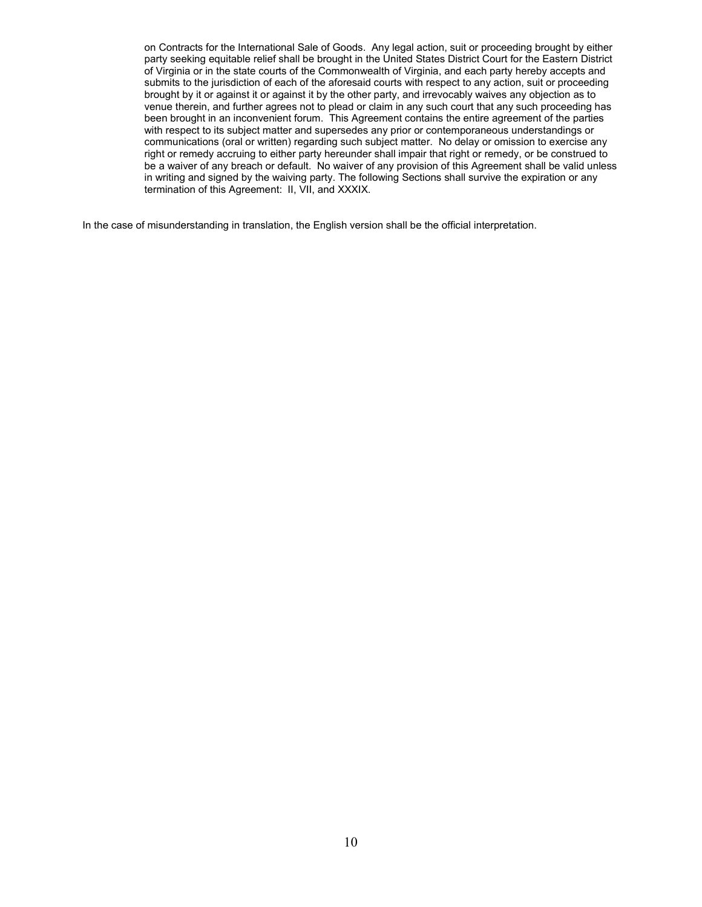on Contracts for the International Sale of Goods. Any legal action, suit or proceeding brought by either party seeking equitable relief shall be brought in the United States District Court for the Eastern District of Virginia or in the state courts of the Commonwealth of Virginia, and each party hereby accepts and submits to the jurisdiction of each of the aforesaid courts with respect to any action, suit or proceeding brought by it or against it or against it by the other party, and irrevocably waives any objection as to venue therein, and further agrees not to plead or claim in any such court that any such proceeding has been brought in an inconvenient forum. This Agreement contains the entire agreement of the parties with respect to its subject matter and supersedes any prior or contemporaneous understandings or communications (oral or written) regarding such subject matter. No delay or omission to exercise any right or remedy accruing to either party hereunder shall impair that right or remedy, or be construed to be a waiver of any breach or default. No waiver of any provision of this Agreement shall be valid unless in writing and signed by the waiving party. The following Sections shall survive the expiration or any termination of this Agreement: II, VII, and XXXIX.

In the case of misunderstanding in translation, the English version shall be the official interpretation.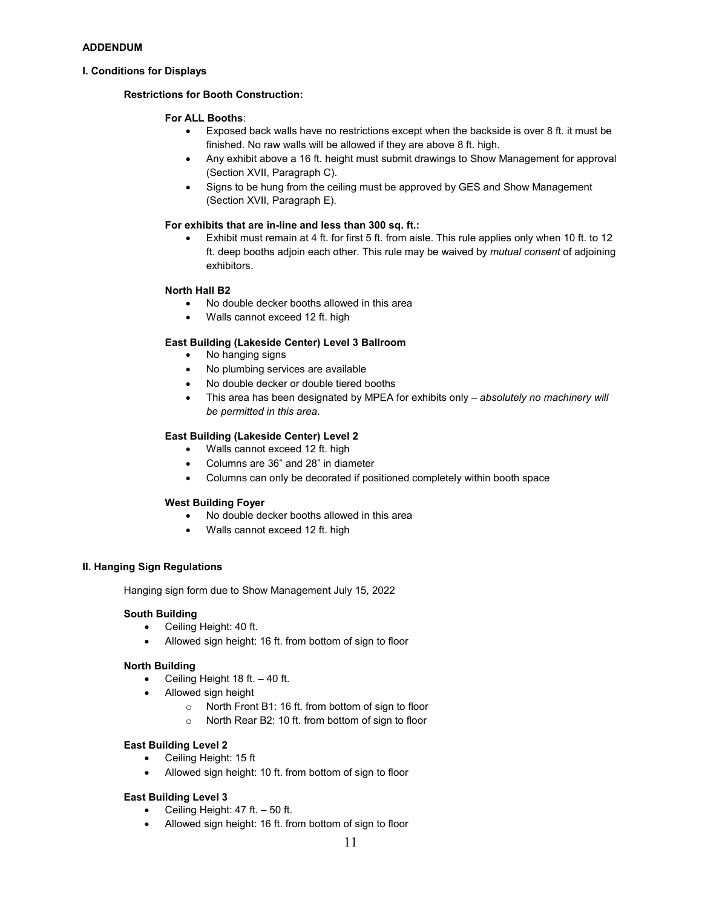#### **I. Conditions for Displays**

### **Restrictions for Booth Construction:**

#### **For ALL Booths**:

- Exposed back walls have no restrictions except when the backside is over 8 ft. it must be finished. No raw walls will be allowed if they are above 8 ft. high.
- Any exhibit above a 16 ft. height must submit drawings to Show Management for approval (Section XVII, Paragraph C).
- Signs to be hung from the ceiling must be approved by GES and Show Management (Section XVII, Paragraph E).

#### **For exhibits that are in-line and less than 300 sq. ft.:**

• Exhibit must remain at 4 ft. for first 5 ft. from aisle. This rule applies only when 10 ft. to 12 ft. deep booths adjoin each other. This rule may be waived by *mutual consent* of adjoining exhibitors.

#### **North Hall B2**

- No double decker booths allowed in this area
- Walls cannot exceed 12 ft. high

# **East Building (Lakeside Center) Level 3 Ballroom**

- No hanging signs
- No plumbing services are available
- No double decker or double tiered booths
- This area has been designated by MPEA for exhibits only *absolutely no machinery will be permitted in this area.*

#### **East Building (Lakeside Center) Level 2**

- Walls cannot exceed 12 ft. high
- Columns are 36" and 28" in diameter
- Columns can only be decorated if positioned completely within booth space

#### **West Building Foyer**

- No double decker booths allowed in this area
- Walls cannot exceed 12 ft. high

# **II. Hanging Sign Regulations**

Hanging sign form due to Show Management July 15, 2022

#### **South Building**

- Ceiling Height: 40 ft.
- Allowed sign height: 16 ft. from bottom of sign to floor

#### **North Building**

- Ceiling Height 18 ft.  $-40$  ft.
- Allowed sign height
	- o North Front B1: 16 ft. from bottom of sign to floor
	- o North Rear B2: 10 ft. from bottom of sign to floor

# **East Building Level 2**

- Ceiling Height: 15 ft
- Allowed sign height: 10 ft. from bottom of sign to floor

#### **East Building Level 3**

- Ceiling Height:  $47$  ft.  $-50$  ft.
- Allowed sign height: 16 ft. from bottom of sign to floor